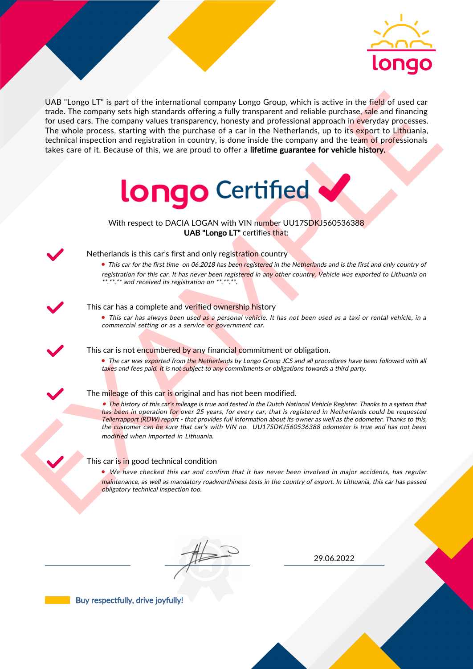

UAS "Lange LI" is part of the interactional company longe Group, which is active in the field of uast car<br>for the field of the control and the interaction between the particles are proposed in the Methodian distribution i UAB "Longo LT" is part of the international company Longo Group, which is active in the field of used car trade. The company sets high standards offering a fully transparent and reliable purchase, sale and financing for used cars. The company values transparency, honesty and professional approach in everyday processes. The whole process, starting with the purchase of a car in the Netherlands, up to its export to Lithuania, technical inspection and registration in country, is done inside the company and the team of professionals takes care of it. Because of this, we are proud to offer a lifetime guarantee for vehicle history.



With respect to DACIA LOGAN with VIN number UU17SDKJ560536388 UAB "Longo LT" certifies that:



## Netherlands is this car's first and only registration country

• This car for the first time on 06.2018 has been registered in the Netherlands and is the first and only country of registration for this car. It has never been registered in any other country. Vehicle was exported to Lithuania on \*.\*\*.\*\* and received its registration on \*\*.\*\*.\*\*.

## This car has a complete and verified ownership history

• This car has always been used as a personal vehicle. It has not been used as a taxi or rental vehicle, in a commercial setting or as a service or government car.

This car is not encumbered by any financial commitment or obligation.

• The car was exported from the Netherlands by Longo Group JCS and all procedures have been followed with all taxes and fees paid. It is not subject to any commitments or obligations towards a third party.

#### The mileage of this car is original and has not been modified.

• The history of this car's mileage is true and tested in the Dutch National Vehicle Register. Thanks to a system that has been in operation for over 25 years, for every car, that is registered in Netherlands could be requested Tellerrapport (RDW) report - that provides full information about its owner as well as the odometer. Thanks to this, the customer can be sure that car's with VIN no. UU17SDKJ560536388 odometer is true and has not been modified when imported in Lithuania.

## This car is in good technical condition

• We have checked this car and confirm that it has never been involved in major accidents, has regular maintenance, as well as mandatory roadworthiness tests in the country of export. In Lithuania, this car has passed obligatory technical inspection too.

29.06.2022

Buy respectfully, drive joyfully!